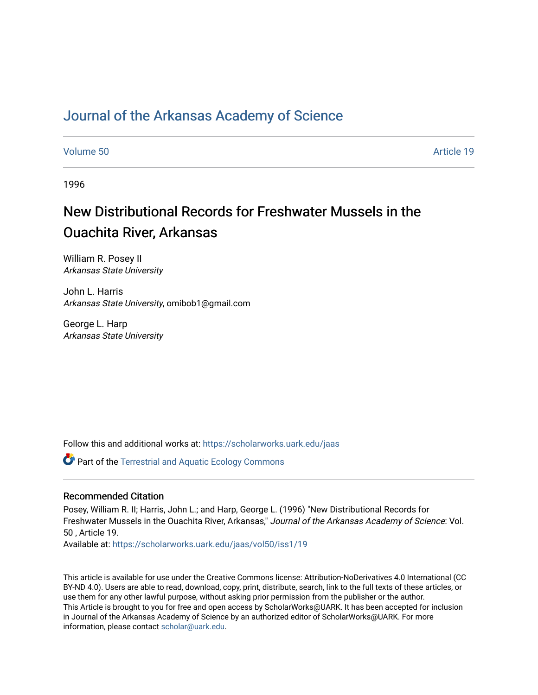## [Journal of the Arkansas Academy of Science](https://scholarworks.uark.edu/jaas)

[Volume 50](https://scholarworks.uark.edu/jaas/vol50) Article 19

1996

# New Distributional Records for Freshwater Mussels in the Ouachita River, Arkansas

William R. Posey II Arkansas State University

John L. Harris Arkansas State University, omibob1@gmail.com

George L. Harp Arkansas State University

Follow this and additional works at: [https://scholarworks.uark.edu/jaas](https://scholarworks.uark.edu/jaas?utm_source=scholarworks.uark.edu%2Fjaas%2Fvol50%2Fiss1%2F19&utm_medium=PDF&utm_campaign=PDFCoverPages) 

**Part of the Terrestrial and Aquatic Ecology Commons** 

## Recommended Citation

Posey, William R. II; Harris, John L.; and Harp, George L. (1996) "New Distributional Records for Freshwater Mussels in the Ouachita River, Arkansas," Journal of the Arkansas Academy of Science: Vol. 50 , Article 19.

Available at: [https://scholarworks.uark.edu/jaas/vol50/iss1/19](https://scholarworks.uark.edu/jaas/vol50/iss1/19?utm_source=scholarworks.uark.edu%2Fjaas%2Fvol50%2Fiss1%2F19&utm_medium=PDF&utm_campaign=PDFCoverPages)

This article is available for use under the Creative Commons license: Attribution-NoDerivatives 4.0 International (CC BY-ND 4.0). Users are able to read, download, copy, print, distribute, search, link to the full texts of these articles, or use them for any other lawful purpose, without asking prior permission from the publisher or the author. This Article is brought to you for free and open access by ScholarWorks@UARK. It has been accepted for inclusion in Journal of the Arkansas Academy of Science by an authorized editor of ScholarWorks@UARK. For more information, please contact [scholar@uark.edu.](mailto:scholar@uark.edu)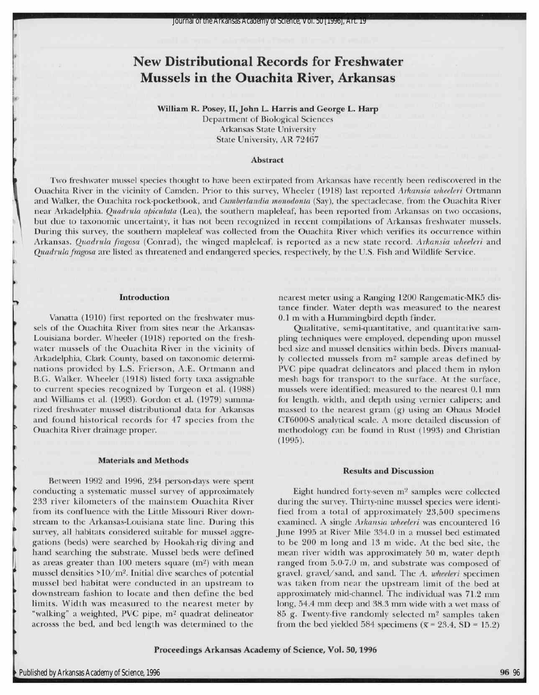# New Distributional Records for Freshwater Mussels in the Ouachita River, Arkansas

William R. Posey, II, John L. Harris and George L. Harp Department of Biological Sciences

Arkansas State University State University, AR 72467

#### Abstract

Two freshwater mussel species thought to have been extirpated from Arkansas have recently been rediscovered in the Ouachita River in the vicinity of Camden. Prior to this survey, Wheeler (1918) last reported Arkansia wheeleri Ortmann and Walker, the Ouachita rock-pocketbook, and Cumberlandia monodonta (Say), the spectaclecase, from the Ouachita River near Arkadelphia. *Quadrula apiculata* (Lea), the southern mapleleaf, has been reported from Arkansas on two occasions, but due to taxonomic uncertainty, it has not been recognized in recent compilations of Arkansas freshwater mussels. During this survey, the southern mapleleaf was collected from the Ouachita River which verifies its occurrence within Arkansas. Quadrula fragosa (Conrad), the winged mapleleaf, is reported as a new state record. Arkansia wheeleri and Quadrula fragosa are listed as threatened and endangered species, respectively, by the U.S. Fish and Wildlife Service.

#### Introduction

i<

?

>

Vanatta (1910) first reported on the freshwater mussels of the Ouachita River from sites near the Arkansas-Louisiana border. Wheeler (1918) reported on the freshwater mussels of the Ouachita River in the vicinity of Arkadelphia, Clark County, based on taxonomic determinations provided by L.S. Frierson, A.E. Ortmann and B.G. Walker. Wheeler (1918) listed forty taxa assignable to current species recognized by Turgeon et al. (1988) and Williams et al. (1993). Gordon et al. (1979) summarized freshwater mussel distributional data for Arkansas and found historical records for 47 species from the Ouachita River drainage proper.

#### Materials and Methods

Between 1992 and 1996, 234 person-days were spent conducting a systematic mussel survey of approximately 233 river kilometers of the mainstem Ouachita River from its confluence with the Little Missouri River downstream to the Arkansas-Louisiana state line. During this survey, all habitats considered suitable for mussel aggregations (beds) were searched by Hookah-rig diving and hand searching the substrate. Mussel beds were defined as areas greater than 100 meters square (m<sup>2</sup>) with mean mussel densities  $>10/m^2$ . Initial dive searches of potential mussel bed habitat were conducted in an upstream to downstream fashion to locate and then define the bed limits. Width was measured to the nearest meter by "walking" a weighted, PVC pipe, m<sup>2</sup> quadrat delineator acrosss the bed, and bed length was determined to the

nearest meter using a Ranging 1200 Rangematic-MK5 distance finder. Water depth was measured to the nearest 0.1 m with a Hummingbird depth finder.

Qualitative, semi-quantitative, and quantitative sampling techniques were employed, depending upon mussel bed size and mussel densities within beds. Divers manually collected mussels from m<sup>2</sup> sample areas defined by PVC pipe quadrat delineators and placed them in nylon mesh bags for transport to the surface. At the surface, mussels were identified; measured to the nearest 0.1 mm for length, width, and depth using vernier calipers; and massed to the nearest gram (g) using an Ohaus Model CT6000-S analytical scale. A more detailed discussion of methodology can be found in Rust (1993) and Christian (1995).

#### Results and Discussion

Eight hundred forty-seven m<sup>2</sup> samples were collected during the survey. Thirty-nine mussel species were identified from a total of approximately 23,500 specimens examined. A single Arkansia wheeleri was encountered 16 June <sup>1995</sup> at River Mile 334.0 in a mussel bed estimated to be 200 m long and 13 m wide. At the bed site, the mean river width was approximately 50 m, water depth ranged from 5.0-7.0 m, and substrate was composed of gravel, gravel/sand, and sand. The A. wheeleri specimen was taken from near the upstream limit of the bed at approximately mid-channel. The individual was 71.2 mm long, 54.4 mm deep and 38.3 mm wide with a wet mass of <sup>85</sup> g. Twenty-five randomly selected m<sup>2</sup> samples taken from the bed yielded 584 specimens ( $\bar{x}$  = 23.4, SD = 15.2)

Proceedings Arkansas Academy of Science, Vol.50, 1996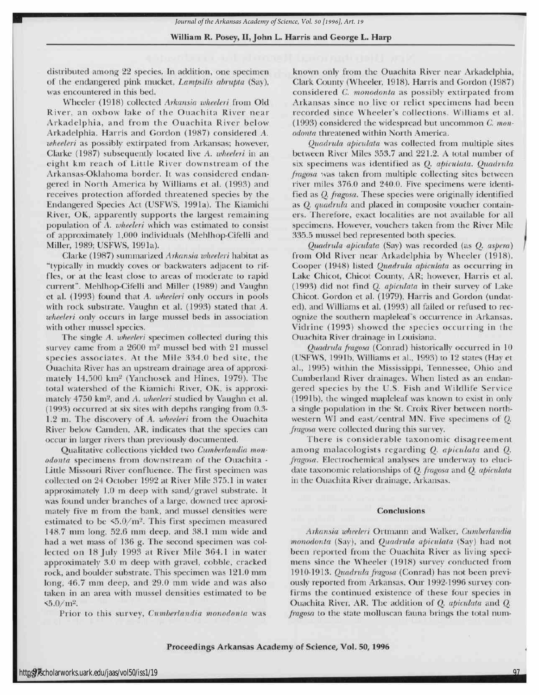### William R. Posey, II, John L. Harris and George L. Harp

distributed among <sup>22</sup> species. In addition, one specimen of the endangered pink mucket, Lampsilis abrupta (Say), was encountered in this bed.

Wheeler (1918) collected Arkansia wheeleri from Old River, an oxbow lake of the Ouachita River near Arkadelphia, and from the Ouachita River below Arkadelphia. Harris and Gordon (1987) considered A. wheeleri as possibly extirpated from Arkansas; however, Clarke (1987) subsequently located live A. wheeleri in an eight km reach of Little River downstream of the Arkansas-Oklahoma border. It was considered endangered in North America by Williams et al. (1993) and receives protection afforded threatened species by the Endangered Species Act (USFWS, 1991a). The Kiamichi River, OK, apparently supports the largest remaining population of A. wheeleri which was estimated to consist of approximately 1,000 individuals (Mehlhop-Cifelli and Miller,1989; USFWS, 1991a).

Clarke (1987) summarized Arkansia wheeleri habitat as "typically in muddy coves or backwaters adjacent to riffles, or at the least close to areas of moderate to rapid current". Mehlhop-Cifelli and Miller(1989) and Vaughn et al. (1993) found that A. wheeleri only occurs in pools with rock substrate. Vaughn et al. (1993) stated that A. wheeleri only occurs in large mussel beds in association with other mussel species.

The single A. wheeleri specimen collected during this survey came from a  $2600$  m<sup>2</sup> mussel bed with  $21$  mussel species associates. At the Mile 334.0 bed site, the Ouachita River has an upstream drainage area of approximately 14,500 km<sup>2</sup> (Yanchosek and Hines, 1979). The total watershed of the Kiamichi River, OK, is approximately 4750 km<sup>2</sup>, and A. wheeleri studied by Vaughn et al. (1993) occurred at six sites with depths ranging from 0.3- 1.2 m. The discovery of A. wheeleri from the Ouachita River below Camden, AR, indicates that the species can occur in larger rivers than previously documented.

Qualitative collections yielded two Cumberlandia monodonta specimens from downstream of the Ouachita - Little Missouri River confluence. The first specimen was collected on 24 October 1992 at River Mile 375.1 in water approximately 1.0 m deep with sand/gravel substrate. It was found under branches of a large, downed tree aproximately five m from the bank, and mussel densities were estimated to be  $\leq 5.0/m^2$ . This first specimen measured 148.7 mm long, 52.6 mm deep, and 38.1 mm wide and had a wet mass of 136 g. The second specimen was collected on <sup>18</sup> July <sup>1993</sup> at River Mile 364.1 in water approximately 3.0 m deep with gravel, cobble, cracked rock, and boulder substrate. This specimen was 121.0 mm long, 46.7 mm deep, and 29.0 mm wide and was also taken in an area with mussel densities estimated to be  $5.0/m^2$ .

Prior to this survey, Cumberlandia monodonta was

known only from the Ouachita River near Arkadelphia, Clark County (Wheeler, 1918). Harris and Gordon (1987 considered C. monodonta as possibly extirpated fron Arkansas since no live or relict specimens had bee recorded since Wheeler's collections. Williams et a (1993) considered the widespread but uncommon C. mon odonta threatened within North America.

Quadrula apiculata was collected from multiple site between River Miles 358.7 and 221.2. A total number o six specimens was identified as Q. apiculata. Quadrula fragosa was taken from multiple collecting sites between river miles 376.0 and 240.0. Five specimens were ident fied as Q. fragosa. These species were originally identified as Q. quadrula and placed in composite voucher containers. Therefore, exact localities are not available for all specimens. However, vouchers taken from the River Mile 335.5 mussel bed represented both species.

Quadrula apiculata (Say) was recorded (as Q. aspera) from Old River near Arkadelphia by Wheeler (1918) Cooper (1948) listed Quadrula apiculata as occurring in Lake Chicot, Chicot County, AR; however, Harris et al. (1993) did not find Q. apiculata in their survey of Lak Chicot. Gordon et al. (1979), Harris and Gordon (unda ed), and Williams et al. (1993) all failed or refused to rec ognize the southern mapleleaf's occurrence in Arkansas Vidrine (1993) showed the species occurring in th Ouachita River drainage inLouisiana.

Quadrula fragosa (Conrad) historically occurred in 1( 1 (USFWS, 1991b, Williams et al., 1993) to 12 states (Hay e al., 1995) within the Mississippi, Tennessee, Ohio anc Cumberland River drainages. When listed as an endan gered species by the U.S. Fish and Wildlife Service (1991b), the winged mapleleaf was known to exist in only a single population in the St. Croix River between north western WI and east/central MN. Five specimens of <sup>Q</sup> fragosa were collected during this survey.

There is considerable taxonomic disagreemen among malacologists regarding Q. apiculata and Q. fragosa. Electrochemical analyses are underway to eluci date taxonomic relationships of Q. fragosa and Q. apiculata in the Ouachita River drainage, Arkansas.

#### Conclusions

Arkansia wheeleri Ortmann and Walker, Cumberlandia monodonta (Say), and Quadrula apiculata (Say) had not been reported from the Ouachita River as living speci mens since the Wheeler (1918) survey conducted fron 1910-1913. Quadrula fragosa (Conrad) has not been previ ously reported from Arkansas. Our 1992-1996 survey con firms the continued existence of these four species in Ouachita River, AR. The addition of Q. apiculata and <sup>Q</sup> fragosa to the state molluscan fauna brings the total num

×

97

Proceedings Arkansas Academy of Science, Vol.50, 1996